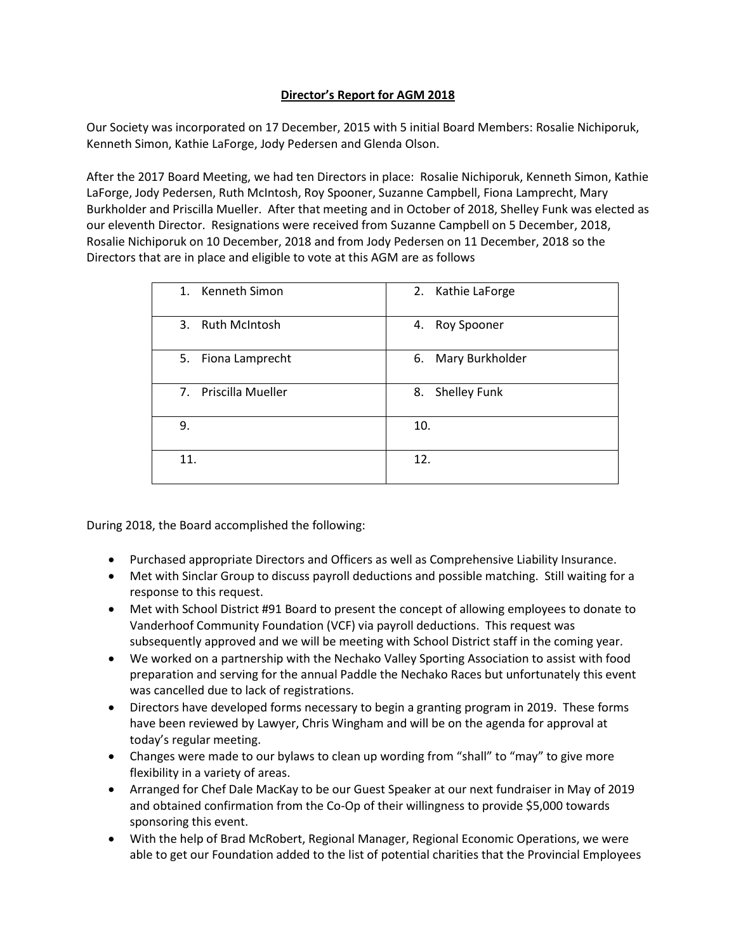## **Director's Report for AGM 2018**

Our Society was incorporated on 17 December, 2015 with 5 initial Board Members: Rosalie Nichiporuk, Kenneth Simon, Kathie LaForge, Jody Pedersen and Glenda Olson.

After the 2017 Board Meeting, we had ten Directors in place: Rosalie Nichiporuk, Kenneth Simon, Kathie LaForge, Jody Pedersen, Ruth McIntosh, Roy Spooner, Suzanne Campbell, Fiona Lamprecht, Mary Burkholder and Priscilla Mueller. After that meeting and in October of 2018, Shelley Funk was elected as our eleventh Director. Resignations were received from Suzanne Campbell on 5 December, 2018, Rosalie Nichiporuk on 10 December, 2018 and from Jody Pedersen on 11 December, 2018 so the Directors that are in place and eligible to vote at this AGM are as follows

| 1. Kenneth Simon     | 2. Kathie LaForge     |
|----------------------|-----------------------|
| 3. Ruth McIntosh     | Roy Spooner<br>4.     |
| 5. Fiona Lamprecht   | Mary Burkholder<br>6. |
| 7. Priscilla Mueller | 8. Shelley Funk       |
| 9.                   | 10.                   |
| 11.                  | 12.                   |

During 2018, the Board accomplished the following:

- Purchased appropriate Directors and Officers as well as Comprehensive Liability Insurance.
- Met with Sinclar Group to discuss payroll deductions and possible matching. Still waiting for a response to this request.
- Met with School District #91 Board to present the concept of allowing employees to donate to Vanderhoof Community Foundation (VCF) via payroll deductions. This request was subsequently approved and we will be meeting with School District staff in the coming year.
- We worked on a partnership with the Nechako Valley Sporting Association to assist with food preparation and serving for the annual Paddle the Nechako Races but unfortunately this event was cancelled due to lack of registrations.
- Directors have developed forms necessary to begin a granting program in 2019. These forms have been reviewed by Lawyer, Chris Wingham and will be on the agenda for approval at today's regular meeting.
- Changes were made to our bylaws to clean up wording from "shall" to "may" to give more flexibility in a variety of areas.
- Arranged for Chef Dale MacKay to be our Guest Speaker at our next fundraiser in May of 2019 and obtained confirmation from the Co-Op of their willingness to provide \$5,000 towards sponsoring this event.
- With the help of Brad McRobert, Regional Manager, Regional Economic Operations, we were able to get our Foundation added to the list of potential charities that the Provincial Employees